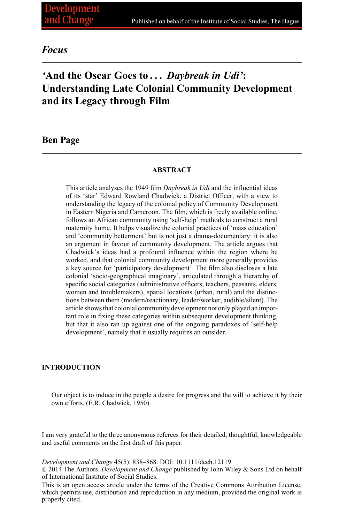# *Focus*

# *'***And the Oscar Goes to . . .** *Daybreak in Udi'***: Understanding Late Colonial Community Development and its Legacy through Film**

# **Ben Page**

# **ABSTRACT**

This article analyses the 1949 film *Daybreak in Udi* and the influential ideas of its 'star' Edward Rowland Chadwick, a District Officer, with a view to understanding the legacy of the colonial policy of Community Development in Eastern Nigeria and Cameroon. The film, which is freely available online, follows an African community using 'self-help' methods to construct a rural maternity home. It helps visualize the colonial practices of 'mass education' and 'community betterment' but is not just a drama-documentary: it is also an argument in favour of community development. The article argues that Chadwick's ideas had a profound influence within the region where he worked, and that colonial community development more generally provides a key source for 'participatory development'. The film also discloses a late colonial 'socio-geographical imaginary', articulated through a hierarchy of specific social categories (administrative officers, teachers, peasants, elders, women and troublemakers), spatial locations (urban, rural) and the distinctions between them (modern/reactionary, leader/worker, audible/silent). The article shows that colonial community development not only played an important role in fixing these categories within subsequent development thinking, but that it also ran up against one of the ongoing paradoxes of 'self-help development', namely that it usually requires an outsider.

#### **INTRODUCTION**

Our object is to induce in the people a desire for progress and the will to achieve it by their own efforts. (E.R. Chadwick, 1950)

I am very grateful to the three anonymous referees for their detailed, thoughtful, knowledgeable and useful comments on the first draft of this paper.

*Development and Change* 45(5): 838–868. DOI: 10.1111/dech.12119

-<sup>C</sup> 2014 The Authors. *Development and Change* published by John Wiley & Sons Ltd on behalf of International Institute of Social Studies.

This is an open access article under the terms of the Creative Commons Attribution License, which permits use, distribution and reproduction in any medium, provided the original work is properly cited.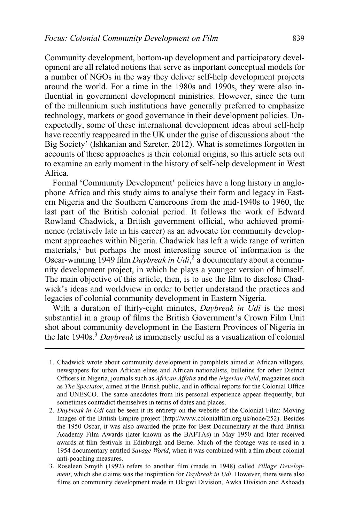Community development, bottom-up development and participatory development are all related notions that serve as important conceptual models for a number of NGOs in the way they deliver self-help development projects around the world. For a time in the 1980s and 1990s, they were also influential in government development ministries. However, since the turn of the millennium such institutions have generally preferred to emphasize technology, markets or good governance in their development policies. Unexpectedly, some of these international development ideas about self-help have recently reappeared in the UK under the guise of discussions about 'the Big Society' (Ishkanian and Szreter, 2012). What is sometimes forgotten in accounts of these approaches is their colonial origins, so this article sets out to examine an early moment in the history of self-help development in West Africa.

Formal 'Community Development' policies have a long history in anglophone Africa and this study aims to analyse their form and legacy in Eastern Nigeria and the Southern Cameroons from the mid-1940s to 1960, the last part of the British colonial period. It follows the work of Edward Rowland Chadwick, a British government official, who achieved prominence (relatively late in his career) as an advocate for community development approaches within Nigeria. Chadwick has left a wide range of written materials,<sup>1</sup> but perhaps the most interesting source of information is the Oscar-winning 1949 film *Daybreak in Udi*, <sup>2</sup> a documentary about a community development project, in which he plays a younger version of himself. The main objective of this article, then, is to use the film to disclose Chadwick's ideas and worldview in order to better understand the practices and legacies of colonial community development in Eastern Nigeria.

With a duration of thirty-eight minutes, *Daybreak in Udi* is the most substantial in a group of films the British Government's Crown Film Unit shot about community development in the Eastern Provinces of Nigeria in the late 1940s.3 *Daybreak* is immensely useful as a visualization of colonial

<sup>1.</sup> Chadwick wrote about community development in pamphlets aimed at African villagers, newspapers for urban African elites and African nationalists, bulletins for other District Officers in Nigeria, journals such as *African Affairs* and the *Nigerian Field*, magazines such as *The Spectator*, aimed at the British public, and in official reports for the Colonial Office and UNESCO. The same anecdotes from his personal experience appear frequently, but sometimes contradict themselves in terms of dates and places.

<sup>2.</sup> *Daybreak in Udi* can be seen it its entirety on the website of the Colonial Film: Moving Images of the British Empire project (http://www.colonialfilm.org.uk/node/252). Besides the 1950 Oscar, it was also awarded the prize for Best Documentary at the third British Academy Film Awards (later known as the BAFTAs) in May 1950 and later received awards at film festivals in Edinburgh and Berne. Much of the footage was re-used in a 1954 documentary entitled *Savage World*, when it was combined with a film about colonial anti-poaching measures.

<sup>3.</sup> Roseleen Smyth (1992) refers to another film (made in 1948) called *Village Development*, which she claims was the inspiration for *Daybreak in Udi*. However, there were also films on community development made in Okigwi Division, Awka Division and Ashoada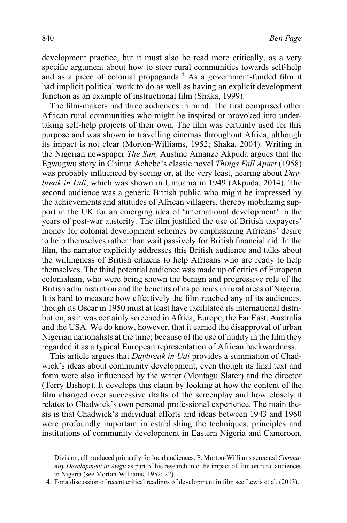development practice, but it must also be read more critically, as a very specific argument about how to steer rural communities towards self-help and as a piece of colonial propaganda.<sup>4</sup> As a government-funded film it had implicit political work to do as well as having an explicit development function as an example of instructional film (Shaka, 1999).

The film-makers had three audiences in mind. The first comprised other African rural communities who might be inspired or provoked into undertaking self-help projects of their own. The film was certainly used for this purpose and was shown in travelling cinemas throughout Africa, although its impact is not clear (Morton-Williams, 1952; Shaka, 2004). Writing in the Nigerian newspaper *The Sun,* Austine Amanze Akpuda argues that the Egwugwu story in Chinua Achebe's classic novel *Things Fall Apart* (1958) was probably influenced by seeing or, at the very least, hearing about *Daybreak in Udi*, which was shown in Umuahia in 1949 (Akpuda, 2014). The second audience was a generic British public who might be impressed by the achievements and attitudes of African villagers, thereby mobilizing support in the UK for an emerging idea of 'international development' in the years of post-war austerity. The film justified the use of British taxpayers' money for colonial development schemes by emphasizing Africans' desire to help themselves rather than wait passively for British financial aid. In the film, the narrator explicitly addresses this British audience and talks about the willingness of British citizens to help Africans who are ready to help themselves. The third potential audience was made up of critics of European colonialism, who were being shown the benign and progressive role of the British administration and the benefits of its policies in rural areas of Nigeria. It is hard to measure how effectively the film reached any of its audiences, though its Oscar in 1950 must at least have facilitated its international distribution, as it was certainly screened in Africa, Europe, the Far East, Australia and the USA. We do know, however, that it earned the disapproval of urban Nigerian nationalists at the time; because of the use of nudity in the film they regarded it as a typical European representation of African backwardness.

This article argues that *Daybreak in Udi* provides a summation of Chadwick's ideas about community development, even though its final text and form were also influenced by the writer (Montagu Slater) and the director (Terry Bishop). It develops this claim by looking at how the content of the film changed over successive drafts of the screenplay and how closely it relates to Chadwick's own personal professional experience. The main thesis is that Chadwick's individual efforts and ideas between 1943 and 1960 were profoundly important in establishing the techniques, principles and institutions of community development in Eastern Nigeria and Cameroon.

Division, all produced primarily for local audiences. P. Morton-Williams screened *Community Development in Awgu* as part of his research into the impact of film on rural audiences in Nigeria (see Morton-Williams, 1952: 22).

<sup>4.</sup> For a discussion of recent critical readings of development in film see Lewis et al. (2013).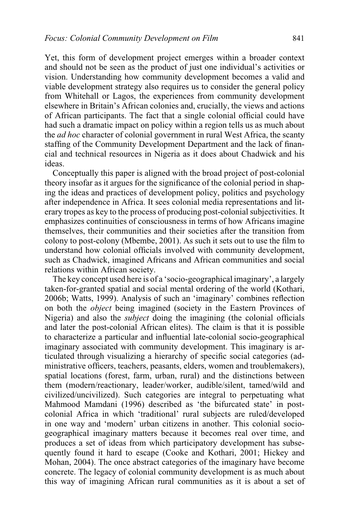Yet, this form of development project emerges within a broader context and should not be seen as the product of just one individual's activities or vision. Understanding how community development becomes a valid and viable development strategy also requires us to consider the general policy from Whitehall or Lagos, the experiences from community development elsewhere in Britain's African colonies and, crucially, the views and actions of African participants. The fact that a single colonial official could have had such a dramatic impact on policy within a region tells us as much about the *ad hoc* character of colonial government in rural West Africa, the scanty staffing of the Community Development Department and the lack of financial and technical resources in Nigeria as it does about Chadwick and his ideas.

Conceptually this paper is aligned with the broad project of post-colonial theory insofar as it argues for the significance of the colonial period in shaping the ideas and practices of development policy, politics and psychology after independence in Africa. It sees colonial media representations and literary tropes as key to the process of producing post-colonial subjectivities. It emphasizes continuities of consciousness in terms of how Africans imagine themselves, their communities and their societies after the transition from colony to post-colony (Mbembe, 2001). As such it sets out to use the film to understand how colonial officials involved with community development, such as Chadwick, imagined Africans and African communities and social relations within African society.

The key concept used here is of a 'socio-geographical imaginary', a largely taken-for-granted spatial and social mental ordering of the world (Kothari, 2006b; Watts, 1999). Analysis of such an 'imaginary' combines reflection on both the *object* being imagined (society in the Eastern Provinces of Nigeria) and also the *subject* doing the imagining (the colonial officials and later the post-colonial African elites). The claim is that it is possible to characterize a particular and influential late-colonial socio-geographical imaginary associated with community development. This imaginary is articulated through visualizing a hierarchy of specific social categories (administrative officers, teachers, peasants, elders, women and troublemakers), spatial locations (forest, farm, urban, rural) and the distinctions between them (modern/reactionary, leader/worker, audible/silent, tamed/wild and civilized/uncivilized). Such categories are integral to perpetuating what Mahmood Mamdani (1996) described as 'the bifurcated state' in postcolonial Africa in which 'traditional' rural subjects are ruled/developed in one way and 'modern' urban citizens in another. This colonial sociogeographical imaginary matters because it becomes real over time, and produces a set of ideas from which participatory development has subsequently found it hard to escape (Cooke and Kothari, 2001; Hickey and Mohan, 2004). The once abstract categories of the imaginary have become concrete. The legacy of colonial community development is as much about this way of imagining African rural communities as it is about a set of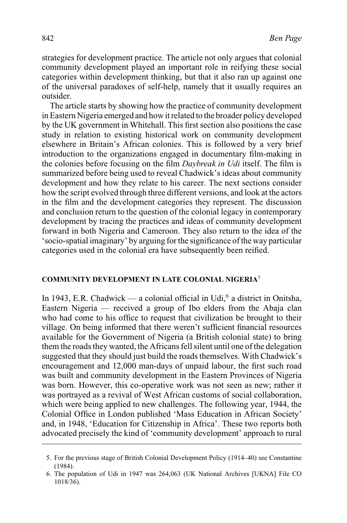strategies for development practice. The article not only argues that colonial community development played an important role in reifying these social categories within development thinking, but that it also ran up against one of the universal paradoxes of self-help, namely that it usually requires an outsider.

The article starts by showing how the practice of community development in Eastern Nigeria emerged and how it related to the broader policy developed by the UK government in Whitehall. This first section also positions the case study in relation to existing historical work on community development elsewhere in Britain's African colonies. This is followed by a very brief introduction to the organizations engaged in documentary film-making in the colonies before focusing on the film *Daybreak in Udi* itself. The film is summarized before being used to reveal Chadwick's ideas about community development and how they relate to his career. The next sections consider how the script evolved through three different versions, and look at the actors in the film and the development categories they represent. The discussion and conclusion return to the question of the colonial legacy in contemporary development by tracing the practices and ideas of community development forward in both Nigeria and Cameroon. They also return to the idea of the 'socio-spatial imaginary' by arguing for the significance of the way particular categories used in the colonial era have subsequently been reified.

## **COMMUNITY DEVELOPMENT IN LATE COLONIAL NIGERIA**<sup>5</sup>

In 1943, E.R. Chadwick — a colonial official in Udi,<sup>6</sup> a district in Onitsha, Eastern Nigeria — received a group of Ibo elders from the Abaja clan who had come to his office to request that civilization be brought to their village. On being informed that there weren't sufficient financial resources available for the Government of Nigeria (a British colonial state) to bring them the roads they wanted, the Africans fell silent until one of the delegation suggested that they should just build the roads themselves. With Chadwick's encouragement and 12,000 man-days of unpaid labour, the first such road was built and community development in the Eastern Provinces of Nigeria was born. However, this co-operative work was not seen as new; rather it was portrayed as a revival of West African customs of social collaboration, which were being applied to new challenges. The following year, 1944, the Colonial Office in London published 'Mass Education in African Society' and, in 1948, 'Education for Citizenship in Africa'. These two reports both advocated precisely the kind of 'community development' approach to rural

<sup>5.</sup> For the previous stage of British Colonial Development Policy (1914–40) see Constantine (1984).

<sup>6.</sup> The population of Udi in 1947 was 264,063 (UK National Archives [UKNA] File CO 1018/36).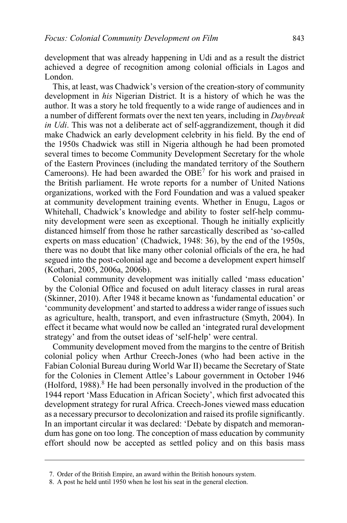development that was already happening in Udi and as a result the district achieved a degree of recognition among colonial officials in Lagos and London.

This, at least, was Chadwick's version of the creation-story of community development in *his* Nigerian District. It is a history of which he was the author. It was a story he told frequently to a wide range of audiences and in a number of different formats over the next ten years, including in *Daybreak in Udi*. This was not a deliberate act of self-aggrandizement, though it did make Chadwick an early development celebrity in his field. By the end of the 1950s Chadwick was still in Nigeria although he had been promoted several times to become Community Development Secretary for the whole of the Eastern Provinces (including the mandated territory of the Southern Cameroons). He had been awarded the  $OBE<sup>7</sup>$  for his work and praised in the British parliament. He wrote reports for a number of United Nations organizations, worked with the Ford Foundation and was a valued speaker at community development training events. Whether in Enugu, Lagos or Whitehall, Chadwick's knowledge and ability to foster self-help community development were seen as exceptional. Though he initially explicitly distanced himself from those he rather sarcastically described as 'so-called experts on mass education' (Chadwick, 1948: 36), by the end of the 1950s, there was no doubt that like many other colonial officials of the era, he had segued into the post-colonial age and become a development expert himself (Kothari, 2005, 2006a, 2006b).

Colonial community development was initially called 'mass education' by the Colonial Office and focused on adult literacy classes in rural areas (Skinner, 2010). After 1948 it became known as 'fundamental education' or 'community development' and started to address a wider range of issues such as agriculture, health, transport, and even infrastructure (Smyth, 2004). In effect it became what would now be called an 'integrated rural development strategy' and from the outset ideas of 'self-help' were central.

Community development moved from the margins to the centre of British colonial policy when Arthur Creech-Jones (who had been active in the Fabian Colonial Bureau during World War II) became the Secretary of State for the Colonies in Clement Attlee's Labour government in October 1946 (Holford,  $1988$ ).<sup>8</sup> He had been personally involved in the production of the 1944 report 'Mass Education in African Society', which first advocated this development strategy for rural Africa. Creech-Jones viewed mass education as a necessary precursor to decolonization and raised its profile significantly. In an important circular it was declared: 'Debate by dispatch and memorandum has gone on too long. The conception of mass education by community effort should now be accepted as settled policy and on this basis mass

<sup>7.</sup> Order of the British Empire, an award within the British honours system.

<sup>8.</sup> A post he held until 1950 when he lost his seat in the general election.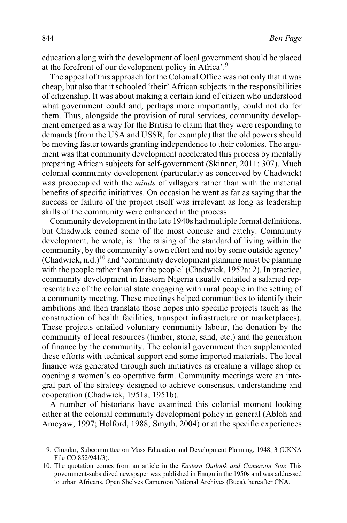education along with the development of local government should be placed at the forefront of our development policy in Africa'.<sup>9</sup>

The appeal of this approach for the Colonial Office was not only that it was cheap, but also that it schooled 'their' African subjects in the responsibilities of citizenship. It was about making a certain kind of citizen who understood what government could and, perhaps more importantly, could not do for them. Thus, alongside the provision of rural services, community development emerged as a way for the British to claim that they were responding to demands (from the USA and USSR, for example) that the old powers should be moving faster towards granting independence to their colonies. The argument was that community development accelerated this process by mentally preparing African subjects for self-government (Skinner, 2011: 307). Much colonial community development (particularly as conceived by Chadwick) was preoccupied with the *minds* of villagers rather than with the material benefits of specific initiatives. On occasion he went as far as saying that the success or failure of the project itself was irrelevant as long as leadership skills of the community were enhanced in the process.

Community development in the late 1940s had multiple formal definitions, but Chadwick coined some of the most concise and catchy. Community development, he wrote, is: *'*the raising of the standard of living within the community, by the community's own effort and not by some outside agency' (Chadwick, n.d.)<sup>10</sup> and 'community development planning must be planning with the people rather than for the people' (Chadwick, 1952a: 2). In practice, community development in Eastern Nigeria usually entailed a salaried representative of the colonial state engaging with rural people in the setting of a community meeting. These meetings helped communities to identify their ambitions and then translate those hopes into specific projects (such as the construction of health facilities, transport infrastructure or marketplaces). These projects entailed voluntary community labour, the donation by the community of local resources (timber, stone, sand, etc.) and the generation of finance by the community. The colonial government then supplemented these efforts with technical support and some imported materials. The local finance was generated through such initiatives as creating a village shop or opening a women's co operative farm. Community meetings were an integral part of the strategy designed to achieve consensus, understanding and cooperation (Chadwick, 1951a, 1951b).

A number of historians have examined this colonial moment looking either at the colonial community development policy in general (Abloh and Ameyaw, 1997; Holford, 1988; Smyth, 2004) or at the specific experiences

<sup>9.</sup> Circular, Subcommittee on Mass Education and Development Planning, 1948, 3 (UKNA File CO 852/941/3).

<sup>10.</sup> The quotation comes from an article in the *Eastern Outlook and Cameroon Star.* This government-subsidized newspaper was published in Enugu in the 1950s and was addressed to urban Africans. Open Shelves Cameroon National Archives (Buea), hereafter CNA.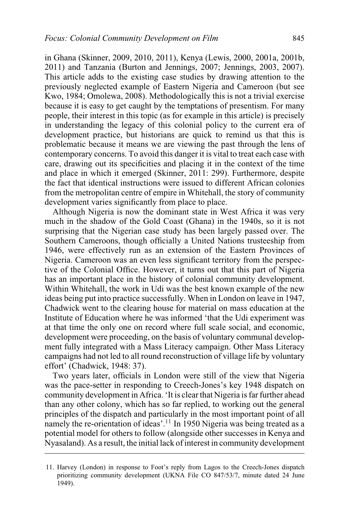in Ghana (Skinner, 2009, 2010, 2011), Kenya (Lewis, 2000, 2001a, 2001b, 2011) and Tanzania (Burton and Jennings, 2007; Jennings, 2003, 2007). This article adds to the existing case studies by drawing attention to the previously neglected example of Eastern Nigeria and Cameroon (but see Kwo, 1984; Omolewa, 2008). Methodologically this is not a trivial exercise because it is easy to get caught by the temptations of presentism. For many people, their interest in this topic (as for example in this article) is precisely in understanding the legacy of this colonial policy to the current era of development practice, but historians are quick to remind us that this is problematic because it means we are viewing the past through the lens of contemporary concerns. To avoid this danger it is vital to treat each case with care, drawing out its specificities and placing it in the context of the time and place in which it emerged (Skinner, 2011: 299). Furthermore, despite the fact that identical instructions were issued to different African colonies from the metropolitan centre of empire in Whitehall, the story of community development varies significantly from place to place.

Although Nigeria is now the dominant state in West Africa it was very much in the shadow of the Gold Coast (Ghana) in the 1940s, so it is not surprising that the Nigerian case study has been largely passed over. The Southern Cameroons, though officially a United Nations trusteeship from 1946, were effectively run as an extension of the Eastern Provinces of Nigeria. Cameroon was an even less significant territory from the perspective of the Colonial Office. However, it turns out that this part of Nigeria has an important place in the history of colonial community development. Within Whitehall, the work in Udi was the best known example of the new ideas being put into practice successfully. When in London on leave in 1947, Chadwick went to the clearing house for material on mass education at the Institute of Education where he was informed 'that the Udi experiment was at that time the only one on record where full scale social, and economic, development were proceeding, on the basis of voluntary communal development fully integrated with a Mass Literacy campaign. Other Mass Literacy campaigns had not led to all round reconstruction of village life by voluntary effort' (Chadwick, 1948: 37).

Two years later, officials in London were still of the view that Nigeria was the pace-setter in responding to Creech-Jones's key 1948 dispatch on community development in Africa. 'It is clear that Nigeria is far further ahead than any other colony, which has so far replied, to working out the general principles of the dispatch and particularly in the most important point of all namely the re-orientation of ideas'.<sup>11</sup> In 1950 Nigeria was being treated as a potential model for others to follow (alongside other successes in Kenya and Nyasaland). As a result, the initial lack of interest in community development

<sup>11.</sup> Harvey (London) in response to Foot's reply from Lagos to the Creech-Jones dispatch prioritizing community development (UKNA File CO 847/53/7, minute dated 24 June 1949).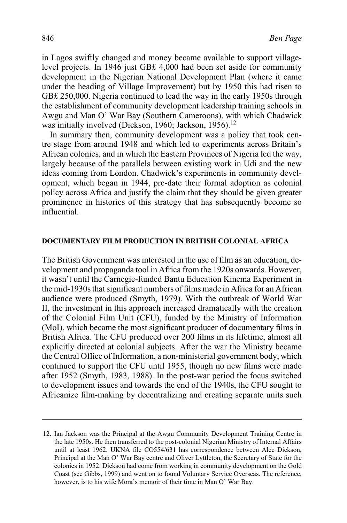in Lagos swiftly changed and money became available to support villagelevel projects. In 1946 just GB£ 4,000 had been set aside for community development in the Nigerian National Development Plan (where it came under the heading of Village Improvement) but by 1950 this had risen to GB£ 250,000. Nigeria continued to lead the way in the early 1950s through the establishment of community development leadership training schools in Awgu and Man O' War Bay (Southern Cameroons), with which Chadwick was initially involved (Dickson, 1960; Jackson, 1956).<sup>12</sup>

In summary then, community development was a policy that took centre stage from around 1948 and which led to experiments across Britain's African colonies, and in which the Eastern Provinces of Nigeria led the way, largely because of the parallels between existing work in Udi and the new ideas coming from London. Chadwick's experiments in community development, which began in 1944, pre-date their formal adoption as colonial policy across Africa and justify the claim that they should be given greater prominence in histories of this strategy that has subsequently become so influential.

#### **DOCUMENTARY FILM PRODUCTION IN BRITISH COLONIAL AFRICA**

The British Government was interested in the use of film as an education, development and propaganda tool in Africa from the 1920s onwards. However, it wasn't until the Carnegie-funded Bantu Education Kinema Experiment in the mid-1930s that significant numbers of films made in Africa for an African audience were produced (Smyth, 1979). With the outbreak of World War II, the investment in this approach increased dramatically with the creation of the Colonial Film Unit (CFU), funded by the Ministry of Information (MoI), which became the most significant producer of documentary films in British Africa. The CFU produced over 200 films in its lifetime, almost all explicitly directed at colonial subjects. After the war the Ministry became the Central Office of Information, a non-ministerial government body, which continued to support the CFU until 1955, though no new films were made after 1952 (Smyth, 1983, 1988). In the post-war period the focus switched to development issues and towards the end of the 1940s, the CFU sought to Africanize film-making by decentralizing and creating separate units such

<sup>12.</sup> Ian Jackson was the Principal at the Awgu Community Development Training Centre in the late 1950s. He then transferred to the post-colonial Nigerian Ministry of Internal Affairs until at least 1962. UKNA file CO554/631 has correspondence between Alec Dickson, Principal at the Man O' War Bay centre and Oliver Lyttleton, the Secretary of State for the colonies in 1952. Dickson had come from working in community development on the Gold Coast (see Gibbs, 1999) and went on to found Voluntary Service Overseas. The reference, however, is to his wife Mora's memoir of their time in Man O' War Bay.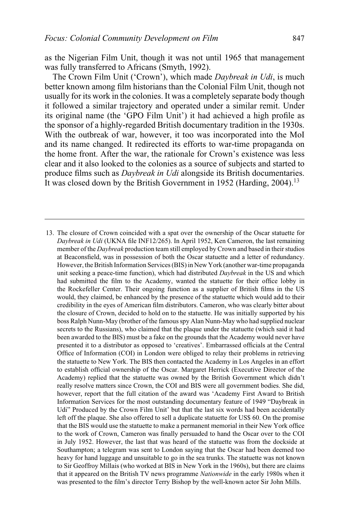as the Nigerian Film Unit, though it was not until 1965 that management was fully transferred to Africans (Smyth, 1992).

The Crown Film Unit ('Crown'), which made *Daybreak in Udi*, is much better known among film historians than the Colonial Film Unit, though not usually for its work in the colonies. It was a completely separate body though it followed a similar trajectory and operated under a similar remit. Under its original name (the 'GPO Film Unit') it had achieved a high profile as the sponsor of a highly-regarded British documentary tradition in the 1930s. With the outbreak of war, however, it too was incorporated into the MoI and its name changed. It redirected its efforts to war-time propaganda on the home front. After the war, the rationale for Crown's existence was less clear and it also looked to the colonies as a source of subjects and started to produce films such as *Daybreak in Udi* alongside its British documentaries. It was closed down by the British Government in 1952 (Harding, 2004).<sup>13</sup>

<sup>13.</sup> The closure of Crown coincided with a spat over the ownership of the Oscar statuette for *Daybreak in Udi* (UKNA file INF12/265). In April 1952, Ken Cameron, the last remaining member of the *Daybreak* production team still employed by Crown and based in their studios at Beaconsfield, was in possession of both the Oscar statuette and a letter of redundancy. However, the British Information Services (BIS) in New York (another war-time propaganda unit seeking a peace-time function), which had distributed *Daybreak* in the US and which had submitted the film to the Academy, wanted the statuette for their office lobby in the Rockefeller Center. Their ongoing function as a supplier of British films in the US would, they claimed, be enhanced by the presence of the statuette which would add to their credibility in the eyes of American film distributors. Cameron, who was clearly bitter about the closure of Crown, decided to hold on to the statuette. He was initially supported by his boss Ralph Nunn-May (brother of the famous spy Alan Nunn-May who had supplied nuclear secrets to the Russians), who claimed that the plaque under the statuette (which said it had been awarded to the BIS) must be a fake on the grounds that the Academy would never have presented it to a distributor as opposed to 'creatives'. Embarrassed officials at the Central Office of Information (COI) in London were obliged to relay their problems in retrieving the statuette to New York. The BIS then contacted the Academy in Los Angeles in an effort to establish official ownership of the Oscar. Margaret Herrick (Executive Director of the Academy) replied that the statuette was owned by the British Government which didn't really resolve matters since Crown, the COI and BIS were all government bodies. She did, however, report that the full citation of the award was 'Academy First Award to British Information Services for the most outstanding documentary feature of 1949 "Daybreak in Udi" Produced by the Crown Film Unit' but that the last six words had been accidentally left off the plaque. She also offered to sell a duplicate statuette for US\$ 60. On the promise that the BIS would use the statuette to make a permanent memorial in their New York office to the work of Crown, Cameron was finally persuaded to hand the Oscar over to the COI in July 1952. However, the last that was heard of the statuette was from the dockside at Southampton; a telegram was sent to London saying that the Oscar had been deemed too heavy for hand luggage and unsuitable to go in the sea trunks. The statuette was not known to Sir Geoffroy Millais (who worked at BIS in New York in the 1960s), but there are claims that it appeared on the British TV news programme *Nationwide* in the early 1980s when it was presented to the film's director Terry Bishop by the well-known actor Sir John Mills.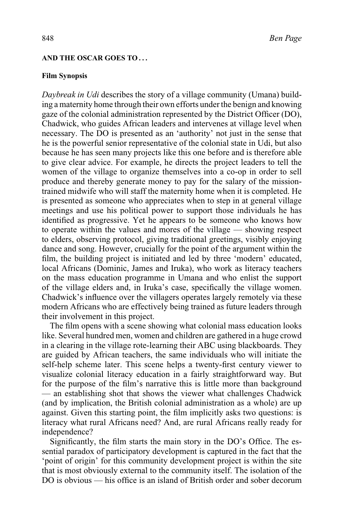# **AND THE OSCAR GOES TO . . .**

# **Film Synopsis**

*Daybreak in Udi* describes the story of a village community (Umana) building a maternity home through their own efforts under the benign and knowing gaze of the colonial administration represented by the District Officer (DO), Chadwick, who guides African leaders and intervenes at village level when necessary. The DO is presented as an 'authority' not just in the sense that he is the powerful senior representative of the colonial state in Udi, but also because he has seen many projects like this one before and is therefore able to give clear advice. For example, he directs the project leaders to tell the women of the village to organize themselves into a co-op in order to sell produce and thereby generate money to pay for the salary of the missiontrained midwife who will staff the maternity home when it is completed. He is presented as someone who appreciates when to step in at general village meetings and use his political power to support those individuals he has identified as progressive. Yet he appears to be someone who knows how to operate within the values and mores of the village — showing respect to elders, observing protocol, giving traditional greetings, visibly enjoying dance and song. However, crucially for the point of the argument within the film, the building project is initiated and led by three 'modern' educated, local Africans (Dominic, James and Iruka), who work as literacy teachers on the mass education programme in Umana and who enlist the support of the village elders and, in Iruka's case, specifically the village women. Chadwick's influence over the villagers operates largely remotely via these modern Africans who are effectively being trained as future leaders through their involvement in this project.

The film opens with a scene showing what colonial mass education looks like. Several hundred men, women and children are gathered in a huge crowd in a clearing in the village rote-learning their ABC using blackboards. They are guided by African teachers, the same individuals who will initiate the self-help scheme later. This scene helps a twenty-first century viewer to visualize colonial literacy education in a fairly straightforward way. But for the purpose of the film's narrative this is little more than background — an establishing shot that shows the viewer what challenges Chadwick (and by implication, the British colonial administration as a whole) are up against. Given this starting point, the film implicitly asks two questions: is literacy what rural Africans need? And, are rural Africans really ready for independence?

Significantly, the film starts the main story in the DO's Office. The essential paradox of participatory development is captured in the fact that the 'point of origin' for this community development project is within the site that is most obviously external to the community itself. The isolation of the DO is obvious — his office is an island of British order and sober decorum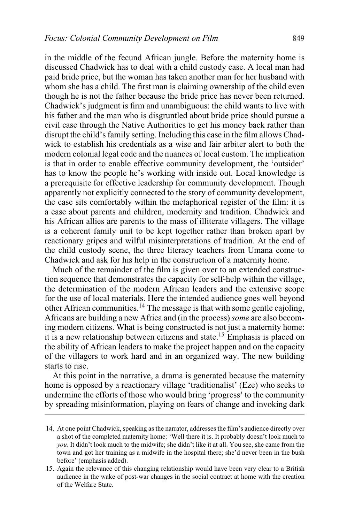in the middle of the fecund African jungle. Before the maternity home is discussed Chadwick has to deal with a child custody case. A local man had paid bride price, but the woman has taken another man for her husband with whom she has a child. The first man is claiming ownership of the child even though he is not the father because the bride price has never been returned. Chadwick's judgment is firm and unambiguous: the child wants to live with his father and the man who is disgruntled about bride price should pursue a civil case through the Native Authorities to get his money back rather than disrupt the child's family setting. Including this case in the film allows Chadwick to establish his credentials as a wise and fair arbiter alert to both the modern colonial legal code and the nuances of local custom. The implication is that in order to enable effective community development, the 'outsider' has to know the people he's working with inside out. Local knowledge is a prerequisite for effective leadership for community development. Though apparently not explicitly connected to the story of community development, the case sits comfortably within the metaphorical register of the film: it is a case about parents and children, modernity and tradition. Chadwick and his African allies are parents to the mass of illiterate villagers. The village is a coherent family unit to be kept together rather than broken apart by reactionary gripes and wilful misinterpretations of tradition. At the end of the child custody scene, the three literacy teachers from Umana come to Chadwick and ask for his help in the construction of a maternity home.

Much of the remainder of the film is given over to an extended construction sequence that demonstrates the capacity for self-help within the village, the determination of the modern African leaders and the extensive scope for the use of local materials. Here the intended audience goes well beyond other African communities.14 The message is that with some gentle cajoling, Africans are building a new Africa and (in the process)*some* are also becoming modern citizens. What is being constructed is not just a maternity home: it is a new relationship between citizens and state.<sup>15</sup> Emphasis is placed on the ability of African leaders to make the project happen and on the capacity of the villagers to work hard and in an organized way. The new building starts to rise.

At this point in the narrative, a drama is generated because the maternity home is opposed by a reactionary village 'traditionalist' (Eze) who seeks to undermine the efforts of those who would bring 'progress' to the community by spreading misinformation, playing on fears of change and invoking dark

<sup>14.</sup> At one point Chadwick, speaking as the narrator, addresses the film's audience directly over a shot of the completed maternity home: 'Well there it is. It probably doesn't look much to *you*. It didn't look much to the midwife; she didn't like it at all. You see, she came from the town and got her training as a midwife in the hospital there; she'd never been in the bush before' (emphasis added).

<sup>15.</sup> Again the relevance of this changing relationship would have been very clear to a British audience in the wake of post-war changes in the social contract at home with the creation of the Welfare State.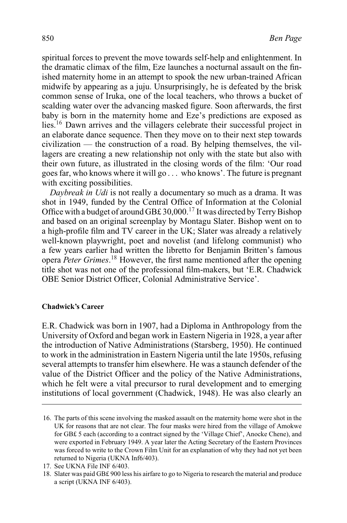spiritual forces to prevent the move towards self-help and enlightenment. In the dramatic climax of the film, Eze launches a nocturnal assault on the finished maternity home in an attempt to spook the new urban-trained African midwife by appearing as a juju. Unsurprisingly, he is defeated by the brisk common sense of Iruka, one of the local teachers, who throws a bucket of scalding water over the advancing masked figure. Soon afterwards, the first baby is born in the maternity home and Eze's predictions are exposed as lies.16 Dawn arrives and the villagers celebrate their successful project in an elaborate dance sequence. Then they move on to their next step towards civilization — the construction of a road. By helping themselves, the villagers are creating a new relationship not only with the state but also with their own future, as illustrated in the closing words of the film: 'Our road goes far, who knows where it will go . . . who knows'. The future is pregnant with exciting possibilities.

*Daybreak in Udi* is not really a documentary so much as a drama. It was shot in 1949, funded by the Central Office of Information at the Colonial Office with a budget of around GB£ 30,000.<sup>17</sup> It was directed by Terry Bishop and based on an original screenplay by Montagu Slater. Bishop went on to a high-profile film and TV career in the UK; Slater was already a relatively well-known playwright, poet and novelist (and lifelong communist) who a few years earlier had written the libretto for Benjamin Britten's famous opera *Peter Grimes*. <sup>18</sup> However, the first name mentioned after the opening title shot was not one of the professional film-makers, but 'E.R. Chadwick OBE Senior District Officer, Colonial Administrative Service'.

#### **Chadwick's Career**

E.R. Chadwick was born in 1907, had a Diploma in Anthropology from the University of Oxford and began work in Eastern Nigeria in 1928, a year after the introduction of Native Administrations (Starsberg, 1950). He continued to work in the administration in Eastern Nigeria until the late 1950s, refusing several attempts to transfer him elsewhere. He was a staunch defender of the value of the District Officer and the policy of the Native Administrations, which he felt were a vital precursor to rural development and to emerging institutions of local government (Chadwick, 1948). He was also clearly an

<sup>16.</sup> The parts of this scene involving the masked assault on the maternity home were shot in the UK for reasons that are not clear. The four masks were hired from the village of Amokwe for GB£ 5 each (according to a contract signed by the 'Village Chief', Anocke Chene), and were exported in February 1949. A year later the Acting Secretary of the Eastern Provinces was forced to write to the Crown Film Unit for an explanation of why they had not yet been returned to Nigeria (UKNA Inf6/403).

<sup>17.</sup> See UKNA File INF 6/403.

<sup>18.</sup> Slater was paid GB£ 900 less his airfare to go to Nigeria to research the material and produce a script (UKNA INF 6/403).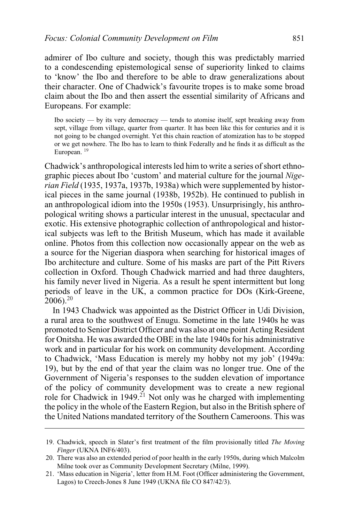admirer of Ibo culture and society, though this was predictably married to a condescending epistemological sense of superiority linked to claims to 'know' the Ibo and therefore to be able to draw generalizations about their character. One of Chadwick's favourite tropes is to make some broad claim about the Ibo and then assert the essential similarity of Africans and Europeans. For example:

Ibo society — by its very democracy — tends to atomise itself, sept breaking away from sept, village from village, quarter from quarter. It has been like this for centuries and it is not going to be changed overnight. Yet this chain reaction of atomization has to be stopped or we get nowhere. The Ibo has to learn to think Federally and he finds it as difficult as the European. <sup>19</sup>

Chadwick's anthropological interests led him to write a series of short ethnographic pieces about Ibo 'custom' and material culture for the journal *Nigerian Field* (1935, 1937a, 1937b, 1938a) which were supplemented by historical pieces in the same journal (1938b, 1952b). He continued to publish in an anthropological idiom into the 1950s (1953). Unsurprisingly, his anthropological writing shows a particular interest in the unusual, spectacular and exotic. His extensive photographic collection of anthropological and historical subjects was left to the British Museum, which has made it available online. Photos from this collection now occasionally appear on the web as a source for the Nigerian diaspora when searching for historical images of Ibo architecture and culture. Some of his masks are part of the Pitt Rivers collection in Oxford. Though Chadwick married and had three daughters, his family never lived in Nigeria. As a result he spent intermittent but long periods of leave in the UK, a common practice for DOs (Kirk-Greene,  $2006$ )<sup>20</sup>

In 1943 Chadwick was appointed as the District Officer in Udi Division, a rural area to the southwest of Enugu. Sometime in the late 1940s he was promoted to Senior District Officer and was also at one point Acting Resident for Onitsha. He was awarded the OBE in the late 1940s for his administrative work and in particular for his work on community development. According to Chadwick, 'Mass Education is merely my hobby not my job' (1949a: 19), but by the end of that year the claim was no longer true. One of the Government of Nigeria's responses to the sudden elevation of importance of the policy of community development was to create a new regional role for Chadwick in 1949.<sup>21</sup> Not only was he charged with implementing the policy in the whole of the Eastern Region, but also in the British sphere of the United Nations mandated territory of the Southern Cameroons. This was

<sup>19.</sup> Chadwick, speech in Slater's first treatment of the film provisionally titled *The Moving Finger* (UKNA INF6/403).

<sup>20.</sup> There was also an extended period of poor health in the early 1950s, during which Malcolm Milne took over as Community Development Secretary (Milne, 1999).

<sup>21. &#</sup>x27;Mass education in Nigeria', letter from H.M. Foot (Officer administering the Government, Lagos) to Creech-Jones 8 June 1949 (UKNA file CO 847/42/3).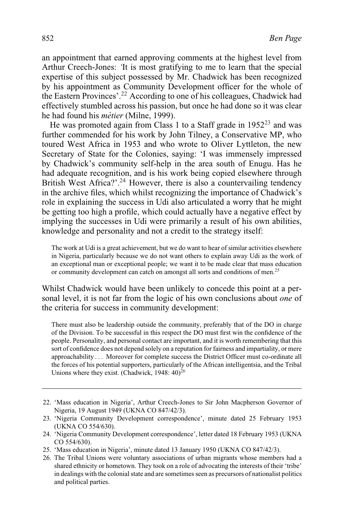an appointment that earned approving comments at the highest level from Arthur Creech-Jones: *'*It is most gratifying to me to learn that the special expertise of this subject possessed by Mr. Chadwick has been recognized by his appointment as Community Development officer for the whole of the Eastern Provinces'.<sup>22</sup> According to one of his colleagues, Chadwick had effectively stumbled across his passion, but once he had done so it was clear he had found his *métier* (Milne, 1999).

He was promoted again from Class 1 to a Staff grade in 1952<sup>23</sup> and was further commended for his work by John Tilney, a Conservative MP, who toured West Africa in 1953 and who wrote to Oliver Lyttleton, the new Secretary of State for the Colonies, saying: 'I was immensely impressed by Chadwick's community self-help in the area south of Enugu. Has he had adequate recognition, and is his work being copied elsewhere through British West Africa?'.<sup>24</sup> However, there is also a countervailing tendency in the archive files, which whilst recognizing the importance of Chadwick's role in explaining the success in Udi also articulated a worry that he might be getting too high a profile, which could actually have a negative effect by implying the successes in Udi were primarily a result of his own abilities, knowledge and personality and not a credit to the strategy itself:

The work at Udi is a great achievement, but we do want to hear of similar activities elsewhere in Nigeria, particularly because we do not want others to explain away Udi as the work of an exceptional man or exceptional people; we want it to be made clear that mass education or community development can catch on amongst all sorts and conditions of men.<sup>25</sup>

Whilst Chadwick would have been unlikely to concede this point at a personal level, it is not far from the logic of his own conclusions about *one* of the criteria for success in community development:

There must also be leadership outside the community, preferably that of the DO in charge of the Division. To be successful in this respect the DO must first win the confidence of the people. Personality, and personal contact are important, and it is worth remembering that this sort of confidence does not depend solely on a reputation for fairness and impartiality, or mere approachability . . . Moreover for complete success the District Officer must co-ordinate all the forces of his potential supporters, particularly of the African intelligentsia, and the Tribal Unions where they exist. (Chadwick, 1948:  $40^{26}$ 

<sup>22. &#</sup>x27;Mass education in Nigeria', Arthur Creech-Jones to Sir John Macpherson Governor of Nigeria, 19 August 1949 (UKNA CO 847/42/3).

<sup>23. &#</sup>x27;Nigeria Community Development correspondence', minute dated 25 February 1953 (UKNA CO 554/630).

<sup>24. &#</sup>x27;Nigeria Community Development correspondence', letter dated 18 February 1953 (UKNA CO 554/630).

<sup>25. &#</sup>x27;Mass education in Nigeria', minute dated 13 January 1950 (UKNA CO 847/42/3).

<sup>26.</sup> The Tribal Unions were voluntary associations of urban migrants whose members had a shared ethnicity or hometown. They took on a role of advocating the interests of their 'tribe' in dealings with the colonial state and are sometimes seen as precursors of nationalist politics and political parties.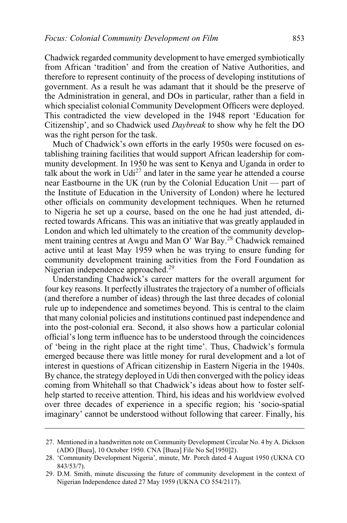Chadwick regarded community development to have emerged symbiotically from African 'tradition' and from the creation of Native Authorities, and therefore to represent continuity of the process of developing institutions of government. As a result he was adamant that it should be the preserve of the Administration in general, and DOs in particular, rather than a field in which specialist colonial Community Development Officers were deployed. This contradicted the view developed in the 1948 report 'Education for Citizenship', and so Chadwick used *Daybreak* to show why he felt the DO was the right person for the task.

Much of Chadwick's own efforts in the early 1950s were focused on establishing training facilities that would support African leadership for community development. In 1950 he was sent to Kenya and Uganda in order to talk about the work in  $Udi^{27}$  and later in the same year he attended a course near Eastbourne in the UK (run by the Colonial Education Unit — part of the Institute of Education in the University of London) where he lectured other officials on community development techniques. When he returned to Nigeria he set up a course, based on the one he had just attended, directed towards Africans. This was an initiative that was greatly applauded in London and which led ultimately to the creation of the community development training centres at Awgu and Man O' War Bay.<sup>28</sup> Chadwick remained active until at least May 1959 when he was trying to ensure funding for community development training activities from the Ford Foundation as Nigerian independence approached.<sup>29</sup>

Understanding Chadwick's career matters for the overall argument for four key reasons. It perfectly illustrates the trajectory of a number of officials (and therefore a number of ideas) through the last three decades of colonial rule up to independence and sometimes beyond. This is central to the claim that many colonial policies and institutions continued past independence and into the post-colonial era. Second, it also shows how a particular colonial official's long term influence has to be understood through the coincidences of 'being in the right place at the right time'. Thus, Chadwick's formula emerged because there was little money for rural development and a lot of interest in questions of African citizenship in Eastern Nigeria in the 1940s. By chance, the strategy deployed in Udi then converged with the policy ideas coming from Whitehall so that Chadwick's ideas about how to foster selfhelp started to receive attention. Third, his ideas and his worldview evolved over three decades of experience in a specific region; his 'socio-spatial imaginary' cannot be understood without following that career. Finally, his

<sup>27.</sup> Mentioned in a handwritten note on Community Development Circular No. 4 by A. Dickson (ADO [Buea], 10 October 1950. CNA [Buea] File No Se[1950]2).

<sup>28. &#</sup>x27;Community Development Nigeria', minute, Mr. Porch dated 4 August 1950 (UKNA CO 843/53/7).

<sup>29.</sup> D.M. Smith, minute discussing the future of community development in the context of Nigerian Independence dated 27 May 1959 (UKNA CO 554/2117).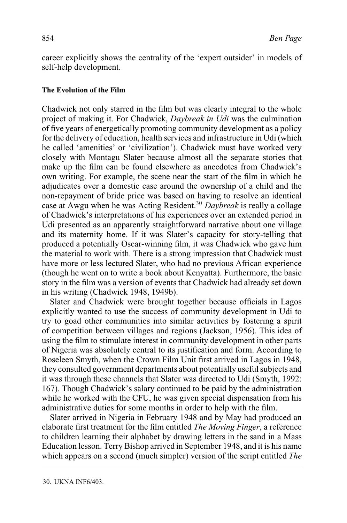career explicitly shows the centrality of the 'expert outsider' in models of self-help development.

# **The Evolution of the Film**

Chadwick not only starred in the film but was clearly integral to the whole project of making it. For Chadwick, *Daybreak in Udi* was the culmination of five years of energetically promoting community development as a policy for the delivery of education, health services and infrastructure in Udi (which he called 'amenities' or 'civilization'). Chadwick must have worked very closely with Montagu Slater because almost all the separate stories that make up the film can be found elsewhere as anecdotes from Chadwick's own writing. For example, the scene near the start of the film in which he adjudicates over a domestic case around the ownership of a child and the non-repayment of bride price was based on having to resolve an identical case at Awgu when he was Acting Resident.30 *Daybreak* is really a collage of Chadwick's interpretations of his experiences over an extended period in Udi presented as an apparently straightforward narrative about one village and its maternity home. If it was Slater's capacity for story-telling that produced a potentially Oscar-winning film, it was Chadwick who gave him the material to work with. There is a strong impression that Chadwick must have more or less lectured Slater, who had no previous African experience (though he went on to write a book about Kenyatta). Furthermore, the basic story in the film was a version of events that Chadwick had already set down in his writing (Chadwick 1948, 1949b).

Slater and Chadwick were brought together because officials in Lagos explicitly wanted to use the success of community development in Udi to try to goad other communities into similar activities by fostering a spirit of competition between villages and regions (Jackson, 1956). This idea of using the film to stimulate interest in community development in other parts of Nigeria was absolutely central to its justification and form. According to Roseleen Smyth, when the Crown Film Unit first arrived in Lagos in 1948, they consulted government departments about potentially useful subjects and it was through these channels that Slater was directed to Udi (Smyth, 1992: 167). Though Chadwick's salary continued to be paid by the administration while he worked with the CFU, he was given special dispensation from his administrative duties for some months in order to help with the film.

Slater arrived in Nigeria in February 1948 and by May had produced an elaborate first treatment for the film entitled *The Moving Finger*, a reference to children learning their alphabet by drawing letters in the sand in a Mass Education lesson. Terry Bishop arrived in September 1948, and it is his name which appears on a second (much simpler) version of the script entitled *The*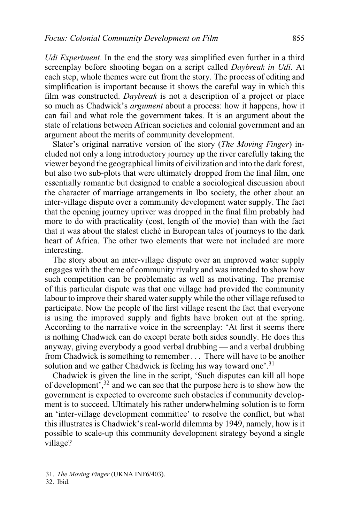*Udi Experiment*. In the end the story was simplified even further in a third screenplay before shooting began on a script called *Daybreak in Udi*. At each step, whole themes were cut from the story. The process of editing and simplification is important because it shows the careful way in which this film was constructed. *Daybreak* is not a description of a project or place so much as Chadwick's *argument* about a process: how it happens, how it can fail and what role the government takes. It is an argument about the state of relations between African societies and colonial government and an argument about the merits of community development.

Slater's original narrative version of the story (*The Moving Finger*) included not only a long introductory journey up the river carefully taking the viewer beyond the geographical limits of civilization and into the dark forest, but also two sub-plots that were ultimately dropped from the final film, one essentially romantic but designed to enable a sociological discussion about the character of marriage arrangements in Ibo society, the other about an inter-village dispute over a community development water supply. The fact that the opening journey upriver was dropped in the final film probably had more to do with practicality (cost, length of the movie) than with the fact that it was about the stalest cliché in European tales of journeys to the dark heart of Africa. The other two elements that were not included are more interesting.

The story about an inter-village dispute over an improved water supply engages with the theme of community rivalry and was intended to show how such competition can be problematic as well as motivating. The premise of this particular dispute was that one village had provided the community labour to improve their shared water supply while the other village refused to participate. Now the people of the first village resent the fact that everyone is using the improved supply and fights have broken out at the spring. According to the narrative voice in the screenplay: 'At first it seems there is nothing Chadwick can do except berate both sides soundly. He does this anyway, giving everybody a good verbal drubbing — and a verbal drubbing from Chadwick is something to remember . . . There will have to be another solution and we gather Chadwick is feeling his way toward one'.<sup>31</sup>

Chadwick is given the line in the script, 'Such disputes can kill all hope of development',32 and we can see that the purpose here is to show how the government is expected to overcome such obstacles if community development is to succeed. Ultimately his rather underwhelming solution is to form an 'inter-village development committee' to resolve the conflict, but what this illustrates is Chadwick's real-world dilemma by 1949, namely, how is it possible to scale-up this community development strategy beyond a single village?

32. Ibid.

<sup>31.</sup> *The Moving Finger* (UKNA INF6/403).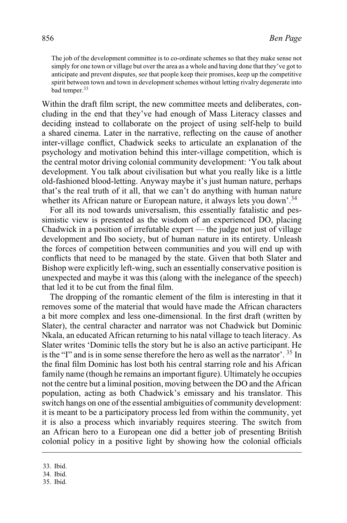The job of the development committee is to co-ordinate schemes so that they make sense not simply for one town or village but over the area as a whole and having done that they've got to anticipate and prevent disputes, see that people keep their promises, keep up the competitive spirit between town and town in development schemes without letting rivalry degenerate into bad temper.<sup>33</sup>

Within the draft film script, the new committee meets and deliberates, concluding in the end that they've had enough of Mass Literacy classes and deciding instead to collaborate on the project of using self-help to build a shared cinema. Later in the narrative, reflecting on the cause of another inter-village conflict, Chadwick seeks to articulate an explanation of the psychology and motivation behind this inter-village competition, which is the central motor driving colonial community development: 'You talk about development. You talk about civilisation but what you really like is a little old-fashioned blood-letting. Anyway maybe it's just human nature, perhaps that's the real truth of it all, that we can't do anything with human nature whether its African nature or European nature, it always lets you down'.<sup>34</sup>

For all its nod towards universalism, this essentially fatalistic and pessimistic view is presented as the wisdom of an experienced DO, placing Chadwick in a position of irrefutable expert — the judge not just of village development and Ibo society, but of human nature in its entirety. Unleash the forces of competition between communities and you will end up with conflicts that need to be managed by the state. Given that both Slater and Bishop were explicitly left-wing, such an essentially conservative position is unexpected and maybe it was this (along with the inelegance of the speech) that led it to be cut from the final film.

The dropping of the romantic element of the film is interesting in that it removes some of the material that would have made the African characters a bit more complex and less one-dimensional. In the first draft (written by Slater), the central character and narrator was not Chadwick but Dominic Nkala, an educated African returning to his natal village to teach literacy. As Slater writes 'Dominic tells the story but he is also an active participant. He is the "I" and is in some sense therefore the hero as well as the narrator'. <sup>35</sup> In the final film Dominic has lost both his central starring role and his African family name (though he remains an important figure). Ultimately he occupies not the centre but a liminal position, moving between the DO and the African population, acting as both Chadwick's emissary and his translator. This switch hangs on one of the essential ambiguities of community development: it is meant to be a participatory process led from within the community, yet it is also a process which invariably requires steering. The switch from an African hero to a European one did a better job of presenting British colonial policy in a positive light by showing how the colonial officials

<sup>33.</sup> Ibid.

<sup>34.</sup> Ibid.

<sup>35.</sup> Ibid.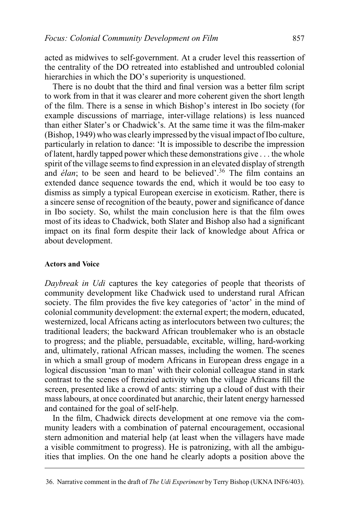acted as midwives to self-government. At a cruder level this reassertion of the centrality of the DO retreated into established and untroubled colonial hierarchies in which the DO's superiority is unquestioned.

There is no doubt that the third and final version was a better film script to work from in that it was clearer and more coherent given the short length of the film. There is a sense in which Bishop's interest in Ibo society (for example discussions of marriage, inter-village relations) is less nuanced than either Slater's or Chadwick's. At the same time it was the film-maker (Bishop, 1949) who was clearly impressed by the visual impact of Ibo culture, particularly in relation to dance: 'It is impossible to describe the impression of latent, hardly tapped power which these demonstrations give . . . the whole spirit of the village seems to find expression in an elevated display of strength and *élan*; to be seen and heard to be believed'.<sup>36</sup> The film contains an extended dance sequence towards the end, which it would be too easy to dismiss as simply a typical European exercise in exoticism. Rather, there is a sincere sense of recognition of the beauty, power and significance of dance in Ibo society. So, whilst the main conclusion here is that the film owes most of its ideas to Chadwick, both Slater and Bishop also had a significant impact on its final form despite their lack of knowledge about Africa or about development.

# **Actors and Voice**

*Daybreak in Udi* captures the key categories of people that theorists of community development like Chadwick used to understand rural African society. The film provides the five key categories of 'actor' in the mind of colonial community development: the external expert; the modern, educated, westernized, local Africans acting as interlocutors between two cultures; the traditional leaders; the backward African troublemaker who is an obstacle to progress; and the pliable, persuadable, excitable, willing, hard-working and, ultimately, rational African masses, including the women. The scenes in which a small group of modern Africans in European dress engage in a logical discussion 'man to man' with their colonial colleague stand in stark contrast to the scenes of frenzied activity when the village Africans fill the screen, presented like a crowd of ants: stirring up a cloud of dust with their mass labours, at once coordinated but anarchic, their latent energy harnessed and contained for the goal of self-help.

In the film, Chadwick directs development at one remove via the community leaders with a combination of paternal encouragement, occasional stern admonition and material help (at least when the villagers have made a visible commitment to progress). He is patronizing, with all the ambiguities that implies. On the one hand he clearly adopts a position above the

<sup>36.</sup> Narrative comment in the draft of *The Udi Experiment* by Terry Bishop (UKNA INF6/403).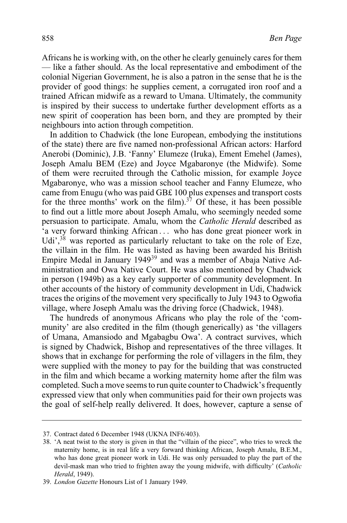Africans he is working with, on the other he clearly genuinely cares for them — like a father should. As the local representative and embodiment of the colonial Nigerian Government, he is also a patron in the sense that he is the provider of good things: he supplies cement, a corrugated iron roof and a trained African midwife as a reward to Umana. Ultimately, the community is inspired by their success to undertake further development efforts as a new spirit of cooperation has been born, and they are prompted by their neighbours into action through competition.

In addition to Chadwick (the lone European, embodying the institutions of the state) there are five named non-professional African actors: Harford Anerobi (Dominic), J.B. 'Fanny' Elumeze (Iruka), Ement Emehel (James), Joseph Amalu BEM (Eze) and Joyce Mgabaronye (the Midwife). Some of them were recruited through the Catholic mission, for example Joyce Mgabaronye, who was a mission school teacher and Fanny Elumeze, who came from Enugu (who was paid GB£ 100 plus expenses and transport costs for the three months' work on the film).<sup>37</sup> Of these, it has been possible to find out a little more about Joseph Amalu, who seemingly needed some persuasion to participate. Amalu, whom the *Catholic Herald* described as 'a very forward thinking African . . . who has done great pioneer work in Udi',  $38$  was reported as particularly reluctant to take on the role of Eze, the villain in the film. He was listed as having been awarded his British Empire Medal in January 1949<sup>39</sup> and was a member of Abaja Native Administration and Owa Native Court. He was also mentioned by Chadwick in person (1949b) as a key early supporter of community development. In other accounts of the history of community development in Udi, Chadwick traces the origins of the movement very specifically to July 1943 to Ogwofia village, where Joseph Amalu was the driving force (Chadwick, 1948).

The hundreds of anonymous Africans who play the role of the 'community' are also credited in the film (though generically) as 'the villagers of Umana, Amansiodo and Mgabagbu Owa'. A contract survives, which is signed by Chadwick, Bishop and representatives of the three villages. It shows that in exchange for performing the role of villagers in the film, they were supplied with the money to pay for the building that was constructed in the film and which became a working maternity home after the film was completed. Such a move seems to run quite counter to Chadwick's frequently expressed view that only when communities paid for their own projects was the goal of self-help really delivered. It does, however, capture a sense of

<sup>37.</sup> Contract dated 6 December 1948 (UKNA INF6/403).

<sup>38. &#</sup>x27;A neat twist to the story is given in that the "villain of the piece", who tries to wreck the maternity home, is in real life a very forward thinking African, Joseph Amalu, B.E.M., who has done great pioneer work in Udi. He was only persuaded to play the part of the devil-mask man who tried to frighten away the young midwife, with difficulty' (*Catholic Herald*, 1949).

<sup>39.</sup> *London Gazette* Honours List of 1 January 1949.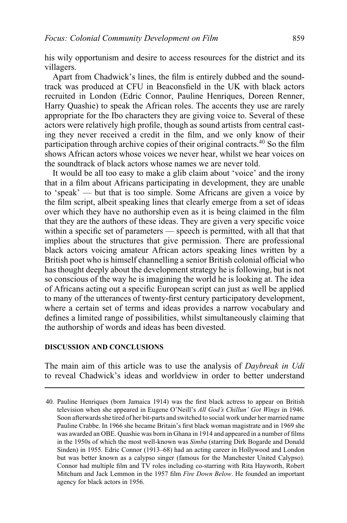his wily opportunism and desire to access resources for the district and its villagers.

Apart from Chadwick's lines, the film is entirely dubbed and the soundtrack was produced at CFU in Beaconsfield in the UK with black actors recruited in London (Edric Connor, Pauline Henriques, Doreen Renner, Harry Quashie) to speak the African roles. The accents they use are rarely appropriate for the Ibo characters they are giving voice to. Several of these actors were relatively high profile, though as sound artists from central casting they never received a credit in the film, and we only know of their participation through archive copies of their original contracts.40 So the film shows African actors whose voices we never hear, whilst we hear voices on the soundtrack of black actors whose names we are never told.

It would be all too easy to make a glib claim about 'voice' and the irony that in a film about Africans participating in development, they are unable to 'speak' — but that is too simple. Some Africans are given a voice by the film script, albeit speaking lines that clearly emerge from a set of ideas over which they have no authorship even as it is being claimed in the film that they are the authors of these ideas. They are given a very specific voice within a specific set of parameters — speech is permitted, with all that that implies about the structures that give permission. There are professional black actors voicing amateur African actors speaking lines written by a British poet who is himself channelling a senior British colonial official who has thought deeply about the development strategy he is following, but is not so conscious of the way he is imagining the world he is looking at. The idea of Africans acting out a specific European script can just as well be applied to many of the utterances of twenty-first century participatory development, where a certain set of terms and ideas provides a narrow vocabulary and defines a limited range of possibilities, whilst simultaneously claiming that the authorship of words and ideas has been divested.

## **DISCUSSION AND CONCLUSIONS**

The main aim of this article was to use the analysis of *Daybreak in Udi* to reveal Chadwick's ideas and worldview in order to better understand

<sup>40.</sup> Pauline Henriques (born Jamaica 1914) was the first black actress to appear on British television when she appeared in Eugene O'Neill's *All God's Chillun' Got Wings* in 1946. Soon afterwards she tired of her bit-parts and switched to social work under her married name Pauline Crabbe. In 1966 she became Britain's first black woman magistrate and in 1969 she was awarded an OBE. Quashie was born in Ghana in 1914 and appeared in a number of films in the 1950s of which the most well-known was *Simba* (starring Dirk Bogarde and Donald Sinden) in 1955. Edric Connor (1913–68) had an acting career in Hollywood and London but was better known as a calypso singer (famous for the Manchester United Calypso). Connor had multiple film and TV roles including co-starring with Rita Hayworth, Robert Mitchum and Jack Lemmon in the 1957 film *Fire Down Below*. He founded an important agency for black actors in 1956.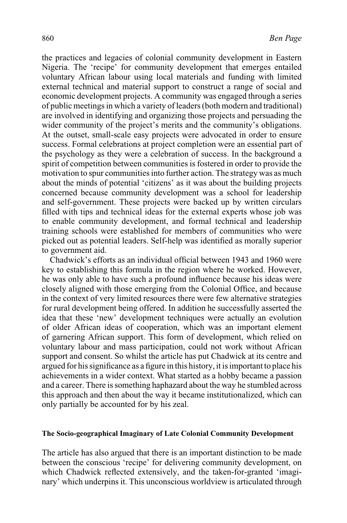the practices and legacies of colonial community development in Eastern Nigeria. The 'recipe' for community development that emerges entailed voluntary African labour using local materials and funding with limited external technical and material support to construct a range of social and economic development projects. A community was engaged through a series of public meetings in which a variety of leaders (both modern and traditional) are involved in identifying and organizing those projects and persuading the wider community of the project's merits and the community's obligations. At the outset, small-scale easy projects were advocated in order to ensure success. Formal celebrations at project completion were an essential part of the psychology as they were a celebration of success. In the background a spirit of competition between communities is fostered in order to provide the motivation to spur communities into further action. The strategy was as much about the minds of potential 'citizens' as it was about the building projects concerned because community development was a school for leadership and self-government. These projects were backed up by written circulars filled with tips and technical ideas for the external experts whose job was to enable community development, and formal technical and leadership training schools were established for members of communities who were picked out as potential leaders. Self-help was identified as morally superior to government aid.

Chadwick's efforts as an individual official between 1943 and 1960 were key to establishing this formula in the region where he worked. However, he was only able to have such a profound influence because his ideas were closely aligned with those emerging from the Colonial Office, and because in the context of very limited resources there were few alternative strategies for rural development being offered. In addition he successfully asserted the idea that these 'new' development techniques were actually an evolution of older African ideas of cooperation, which was an important element of garnering African support. This form of development, which relied on voluntary labour and mass participation, could not work without African support and consent. So whilst the article has put Chadwick at its centre and argued for his significance as a figure in this history, it is important to place his achievements in a wider context. What started as a hobby became a passion and a career. There is something haphazard about the way he stumbled across this approach and then about the way it became institutionalized, which can only partially be accounted for by his zeal.

#### **The Socio-geographical Imaginary of Late Colonial Community Development**

The article has also argued that there is an important distinction to be made between the conscious 'recipe' for delivering community development, on which Chadwick reflected extensively, and the taken-for-granted 'imaginary' which underpins it. This unconscious worldview is articulated through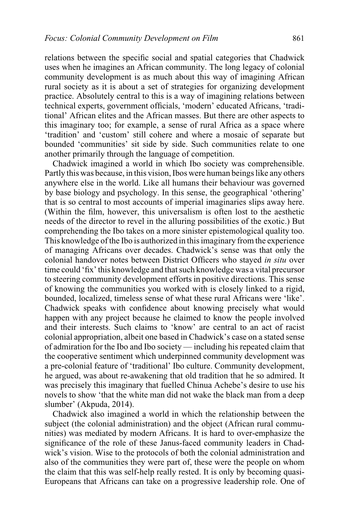relations between the specific social and spatial categories that Chadwick uses when he imagines an African community. The long legacy of colonial community development is as much about this way of imagining African rural society as it is about a set of strategies for organizing development practice. Absolutely central to this is a way of imagining relations between technical experts, government officials, 'modern' educated Africans, 'traditional' African elites and the African masses. But there are other aspects to this imaginary too; for example, a sense of rural Africa as a space where 'tradition' and 'custom' still cohere and where a mosaic of separate but bounded 'communities' sit side by side. Such communities relate to one another primarily through the language of competition.

Chadwick imagined a world in which Ibo society was comprehensible. Partly this was because, in this vision, Ibos were human beings like any others anywhere else in the world. Like all humans their behaviour was governed by base biology and psychology. In this sense, the geographical 'othering' that is so central to most accounts of imperial imaginaries slips away here. (Within the film, however, this universalism is often lost to the aesthetic needs of the director to revel in the alluring possibilities of the exotic.) But comprehending the Ibo takes on a more sinister epistemological quality too. This knowledge of the Ibo is authorized in this imaginary from the experience of managing Africans over decades. Chadwick's sense was that only the colonial handover notes between District Officers who stayed *in situ* over time could 'fix' this knowledge and that such knowledge was a vital precursor to steering community development efforts in positive directions. This sense of knowing the communities you worked with is closely linked to a rigid, bounded, localized, timeless sense of what these rural Africans were 'like'. Chadwick speaks with confidence about knowing precisely what would happen with any project because he claimed to know the people involved and their interests. Such claims to 'know' are central to an act of racist colonial appropriation, albeit one based in Chadwick's case on a stated sense of admiration for the Ibo and Ibo society — including his repeated claim that the cooperative sentiment which underpinned community development was a pre-colonial feature of 'traditional' Ibo culture. Community development, he argued, was about re-awakening that old tradition that he so admired. It was precisely this imaginary that fuelled Chinua Achebe's desire to use his novels to show 'that the white man did not wake the black man from a deep slumber' (Akpuda, 2014).

Chadwick also imagined a world in which the relationship between the subject (the colonial administration) and the object (African rural communities) was mediated by modern Africans. It is hard to over-emphasize the significance of the role of these Janus-faced community leaders in Chadwick's vision. Wise to the protocols of both the colonial administration and also of the communities they were part of, these were the people on whom the claim that this was self-help really rested. It is only by becoming quasi-Europeans that Africans can take on a progressive leadership role. One of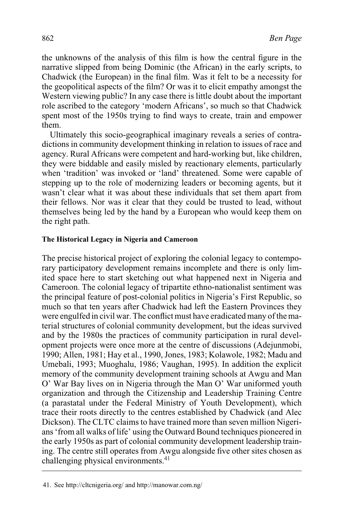the unknowns of the analysis of this film is how the central figure in the narrative slipped from being Dominic (the African) in the early scripts, to Chadwick (the European) in the final film. Was it felt to be a necessity for the geopolitical aspects of the film? Or was it to elicit empathy amongst the Western viewing public? In any case there is little doubt about the important role ascribed to the category 'modern Africans', so much so that Chadwick spent most of the 1950s trying to find ways to create, train and empower them.

Ultimately this socio-geographical imaginary reveals a series of contradictions in community development thinking in relation to issues of race and agency. Rural Africans were competent and hard-working but, like children, they were biddable and easily misled by reactionary elements, particularly when 'tradition' was invoked or 'land' threatened. Some were capable of stepping up to the role of modernizing leaders or becoming agents, but it wasn't clear what it was about these individuals that set them apart from their fellows. Nor was it clear that they could be trusted to lead, without themselves being led by the hand by a European who would keep them on the right path.

# **The Historical Legacy in Nigeria and Cameroon**

The precise historical project of exploring the colonial legacy to contemporary participatory development remains incomplete and there is only limited space here to start sketching out what happened next in Nigeria and Cameroon. The colonial legacy of tripartite ethno-nationalist sentiment was the principal feature of post-colonial politics in Nigeria's First Republic, so much so that ten years after Chadwick had left the Eastern Provinces they were engulfed in civil war. The conflict must have eradicated many of the material structures of colonial community development, but the ideas survived and by the 1980s the practices of community participation in rural development projects were once more at the centre of discussions (Adejunmobi, 1990; Allen, 1981; Hay et al., 1990, Jones, 1983; Kolawole, 1982; Madu and Umebali, 1993; Muoghalu, 1986; Vaughan, 1995). In addition the explicit memory of the community development training schools at Awgu and Man O' War Bay lives on in Nigeria through the Man O' War uniformed youth organization and through the Citizenship and Leadership Training Centre (a parastatal under the Federal Ministry of Youth Development), which trace their roots directly to the centres established by Chadwick (and Alec Dickson). The CLTC claims to have trained more than seven million Nigerians 'from all walks of life' using the Outward Bound techniques pioneered in the early 1950s as part of colonial community development leadership training. The centre still operates from Awgu alongside five other sites chosen as challenging physical environments. $41$ 

<sup>41.</sup> See http://cltcnigeria.org/ and http://manowar.com.ng/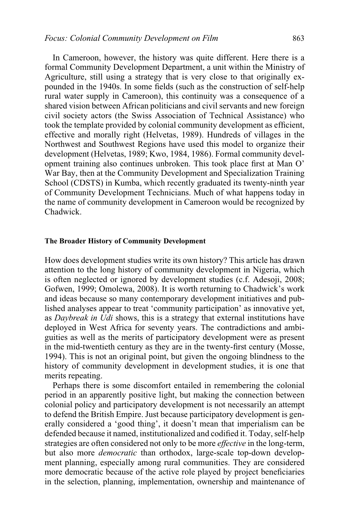In Cameroon, however, the history was quite different. Here there is a formal Community Development Department, a unit within the Ministry of Agriculture, still using a strategy that is very close to that originally expounded in the 1940s. In some fields (such as the construction of self-help rural water supply in Cameroon), this continuity was a consequence of a shared vision between African politicians and civil servants and new foreign civil society actors (the Swiss Association of Technical Assistance) who took the template provided by colonial community development as efficient, effective and morally right (Helvetas, 1989). Hundreds of villages in the Northwest and Southwest Regions have used this model to organize their development (Helvetas, 1989; Kwo, 1984, 1986). Formal community development training also continues unbroken. This took place first at Man O' War Bay, then at the Community Development and Specialization Training School (CDSTS) in Kumba, which recently graduated its twenty-ninth year of Community Development Technicians. Much of what happens today in the name of community development in Cameroon would be recognized by Chadwick.

#### **The Broader History of Community Development**

How does development studies write its own history? This article has drawn attention to the long history of community development in Nigeria, which is often neglected or ignored by development studies (c.f. Adesoji, 2008; Gofwen, 1999; Omolewa, 2008). It is worth returning to Chadwick's work and ideas because so many contemporary development initiatives and published analyses appear to treat 'community participation' as innovative yet, as *Daybreak in Udi* shows, this is a strategy that external institutions have deployed in West Africa for seventy years. The contradictions and ambiguities as well as the merits of participatory development were as present in the mid-twentieth century as they are in the twenty-first century (Mosse, 1994). This is not an original point, but given the ongoing blindness to the history of community development in development studies, it is one that merits repeating.

Perhaps there is some discomfort entailed in remembering the colonial period in an apparently positive light, but making the connection between colonial policy and participatory development is not necessarily an attempt to defend the British Empire. Just because participatory development is generally considered a 'good thing', it doesn't mean that imperialism can be defended because it named, institutionalized and codified it. Today, self-help strategies are often considered not only to be more *effective* in the long-term, but also more *democratic* than orthodox, large-scale top-down development planning, especially among rural communities. They are considered more democratic because of the active role played by project beneficiaries in the selection, planning, implementation, ownership and maintenance of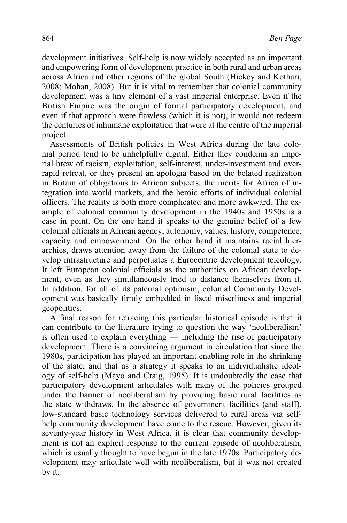development initiatives. Self-help is now widely accepted as an important and empowering form of development practice in both rural and urban areas across Africa and other regions of the global South (Hickey and Kothari, 2008; Mohan, 2008). But it is vital to remember that colonial community development was a tiny element of a vast imperial enterprise. Even if the British Empire was the origin of formal participatory development, and even if that approach were flawless (which it is not), it would not redeem the centuries of inhumane exploitation that were at the centre of the imperial project.

Assessments of British policies in West Africa during the late colonial period tend to be unhelpfully digital. Either they condemn an imperial brew of racism, exploitation, self-interest, under-investment and overrapid retreat, or they present an apologia based on the belated realization in Britain of obligations to African subjects, the merits for Africa of integration into world markets, and the heroic efforts of individual colonial officers. The reality is both more complicated and more awkward. The example of colonial community development in the 1940s and 1950s is a case in point. On the one hand it speaks to the genuine belief of a few colonial officials in African agency, autonomy, values, history, competence, capacity and empowerment. On the other hand it maintains racial hierarchies, draws attention away from the failure of the colonial state to develop infrastructure and perpetuates a Eurocentric development teleology. It left European colonial officials as the authorities on African development, even as they simultaneously tried to distance themselves from it. In addition, for all of its paternal optimism, colonial Community Development was basically firmly embedded in fiscal miserliness and imperial geopolitics.

A final reason for retracing this particular historical episode is that it can contribute to the literature trying to question the way 'neoliberalism' is often used to explain everything — including the rise of participatory development. There is a convincing argument in circulation that since the 1980s, participation has played an important enabling role in the shrinking of the state, and that as a strategy it speaks to an individualistic ideology of self-help (Mayo and Craig, 1995). It is undoubtedly the case that participatory development articulates with many of the policies grouped under the banner of neoliberalism by providing basic rural facilities as the state withdraws. In the absence of government facilities (and staff), low-standard basic technology services delivered to rural areas via selfhelp community development have come to the rescue. However, given its seventy-year history in West Africa, it is clear that community development is not an explicit response to the current episode of neoliberalism, which is usually thought to have begun in the late 1970s. Participatory development may articulate well with neoliberalism, but it was not created by it.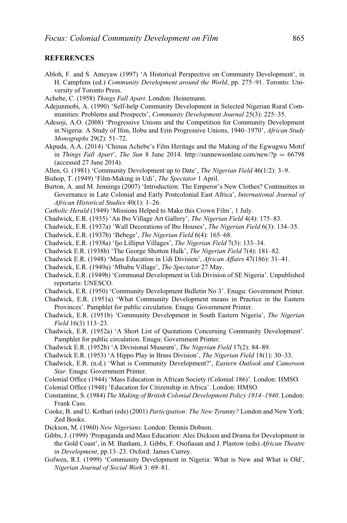## **REFERENCES**

- Abloh, F. and S. Ameyaw (1997) 'A Historical Perspective on Community Development', in H. Campfens (ed.) *Community Development around the World*, pp. 275–91. Toronto: University of Toronto Press.
- Achebe, C. (1958) *Things Fall Apart*. London: Heinemann.
- Adejunmobi, A. (1990) 'Self-help Community Development in Selected Nigerian Rural Communities: Problems and Prospects', *Community Development Journal* 25(3): 225–35.
- Adesoji, A.O. (2008) 'Progressive Unions and the Competition for Community Development in Nigeria: A Study of Ifon, Ilobu and Erin Progressive Unions, 1940–1970', *African Study Monographs* 29(2): 51–72.
- Akpuda, A.A. (2014) 'Chinua Achebe's Film Heritage and the Making of the Egwugwu Motif in *Things Fall Apart*', *The Sun* 8 June 2014. http://sunnewsonline.com/new/?p = 66798 (accessed 27 June 2014).
- Allen, G. (1981) 'Community Development up to Date', *The Nigerian Field* 46(1/2): 3–9.
- Bishop, T. (1949) 'Film-Making in Udi', *The Spectator* 1 April.
- Burton, A. and M. Jennings (2007) 'Introduction: The Emperor's New Clothes? Continuities in Governance in Late Colonial and Early Postcolonial East Africa', *International Journal of African Historical Studies* 40(1): 1–26.
- *Catholic Herald* (1949) 'Missions Helped to Make this Crown Film', 1 July.
- Chadwick, E.R. (1935) 'An Ibo Village Art Gallery', *The Nigerian Field* 4(4): 175–83.
- Chadwick, E.R. (1937a) 'Wall Decorations of Ibo Houses', *The Nigerian Field* 6(3): 134–35.
- Chadwick, E.R. (1937b) 'Bebege', *The Nigerian Field* 6(4): 165–68.
- Chadwick, E.R. (1938a) 'Ijo Lilliput Villages', *The Nigerian Field* 7(3): 133–34.
- Chadwick E.R. (1938b) 'The George Shotton Hulk', *The Nigerian Field* 7(4): 181–82.
- Chadwick E.R. (1948) 'Mass Education in Udi Division', *African Affairs* 47(186): 31–41.
- Chadwick, E.R. (1949a) 'Mbabu Village', *The Spectator* 27 May.
- Chadwick, E.R. (1949b) 'Communal Development in Udi Division of SE Nigeria'. Unpublished reportaris: UNESCO.
- Chadwick, E.R. (1950) 'Community Development Bulletin No 3'. Enugu: Government Printer.
- Chadwick, E.R. (1951a) 'What Community Development means in Practice in the Eastern Provinces'. Pamphlet for public circulation. Enugu: Government Printer.
- Chadwick, E.R. (1951b) 'Community Development in South Eastern Nigeria', *The Nigerian Field* 16(3) 113–23.
- Chadwick, E.R. (1952a) 'A Short List of Quotations Concerning Community Development'. Pamphlet for public circulation. Enugu: Government Printer.
- Chadwick E.R. (1952b) 'A Divisional Museum', *The Nigerian Field* 17(2): 84–89.
- Chadwick E.R. (1953) 'A Hippo Play in Brass Division', *The Nigerian Field* 18(1): 30–33.
- Chadwick, E.R. (n.d.) 'What is Community Development?', *Eastern Outlook and Cameroon Star*. Enugu: Government Printer.
- Colonial Office (1944) 'Mass Education in African Society (Colonial 186)'. London: HMSO.
- Colonial Office (1948) 'Education for Citizenship in Africa'. London: HMSO.
- Constantine, S. (1984) *The Making of British Colonial Development Policy 1914–1940*. London: Frank Cass.
- Cooke, B. and U. Kothari (eds) (2001) *Participation: The New Tyranny?* London and New York: Zed Books.
- Dickson, M. (1960) *New Nigerians*. London: Dennis Dobson.
- Gibbs, J. (1999) 'Propaganda and Mass Education: Alec Dickson and Drama for Development in the Gold Coast', in M. Banham, J. Gibbs, F. Osofiasan and J. Plastow (eds) *African Theatre in Development*, pp.13–23. Oxford: James Currey.
- Gofwen, R.I. (1999) 'Community Development in Nigeria: What is New and What is Old', *Nigerian Journal of Social Work* 3: 69–81.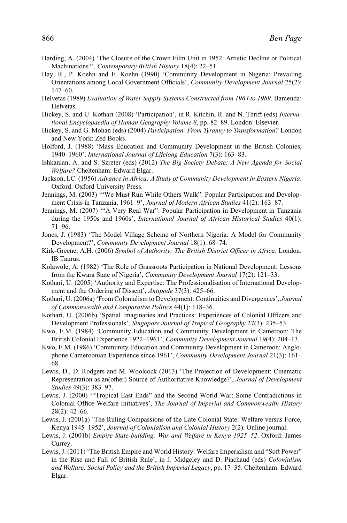- Harding, A. (2004) 'The Closure of the Crown Film Unit in 1952: Artistic Decline or Political Machinations?', *Contemporary British History* 18(4): 22–51.
- Hay, R., P. Koehn and E. Koehn (1990) 'Community Development in Nigeria: Prevailing Orientations among Local Government Officials', *Community Development Journal* 25(2): 147–60.
- Helvetas (1989) *Evaluation of Water Supply Systems Constructed from 1964 to 1989*. Bamenda: Helvetas.
- Hickey, S. and U. Kothari (2008) 'Participation', in R. Kitchin, R. and N. Thrift (eds) *International Encyclopaedia of Human Geography Volume 8*, pp. 82–89. London: Elsevier.
- Hickey, S. and G. Mohan (eds) (2004) *Participation: From Tyranny to Transformation?* London and New York: Zed Books.
- Holford, J. (1988) 'Mass Education and Community Development in the British Colonies, 1940–1960', *International Journal of Lifelong Education* 7(3): 163–83.
- Ishkanian, A. and S. Szreter (eds) (2012) *The Big Society Debate: A New Agenda for Social Welfare?* Cheltenham: Edward Elgar.
- Jackson, I.C. (1956) *Advance in Africa: A Study of Community Development in Eastern Nigeria*. Oxford: Oxford University Press.
- Jennings, M. (2003) '"We Must Run While Others Walk": Popular Participation and Development Crisis in Tanzania, 1961–9', *Journal of Modern African Studies* 41(2): 163–87.
- Jennings, M. (2007) '"A Very Real War": Popular Participation in Development in Tanzania during the 1950s and 1960s', *International Journal of African Historical Studies* 40(1): 71–96.
- Jones, J. (1983) 'The Model Village Scheme of Northern Nigeria: A Model for Community Development?', *Community Development Journal* 18(1): 68–74.
- Kirk-Greene, A.H. (2006) *Symbol of Authority: The British District Officer in Africa*. London: IB Taurus.
- Kolawole, A. (1982) 'The Role of Grassroots Participation in National Development: Lessons from the Kwara State of Nigeria', *Community Development Journal* 17(2): 121–33.
- Kothari, U. (2005) 'Authority and Expertise: The Professionalisation of International Development and the Ordering of Dissent', *Antipode* 37(3): 425–66.
- Kothari, U. (2006a) 'From Colonialism to Development: Continuities and Divergences', *Journal of Commonwealth and Comparative Politics* 44(1): 118–36.
- Kothari, U. (2006b) 'Spatial Imaginaries and Practices: Experiences of Colonial Officers and Development Professionals', *Singapore Journal of Tropical Geography* 27(3): 235–53.
- Kwo, E.M. (1984) 'Community Education and Community Development in Cameroon: The British Colonial Experience 1922–1961', *Community Development Journal* 19(4): 204–13.
- Kwo, E.M. (1986) 'Community Education and Community Development in Cameroon: Anglophone Cameroonian Experience since 1961', *Community Development Journal* 21(3): 161– 68.
- Lewis, D., D. Rodgers and M. Woolcock (2013) 'The Projection of Development: Cinematic Representation as an(other) Source of Authoritative Knowledge?', *Journal of Development Studies* 49(3): 383–97.
- Lewis, J. (2000) '"Tropical East Ends" and the Second World War: Some Contradictions in Colonial Office Welfare Initiatives', *The Journal of Imperial and Commonwealth History* 28(2): 42–66.
- Lewis, J. (2001a) 'The Ruling Compassions of the Late Colonial State: Welfare versus Force, Kenya 1945–1952', *Journal of Colonialism and Colonial History* 2(2). Online journal.
- Lewis, J. (2001b) *Empire State-building: War and Welfare in Kenya 1925–52*. Oxford: James Currey.
- Lewis, J. (2011) 'The British Empire and World History: Welfare Imperialism and "Soft Power" in the Rise and Fall of British Rule', in J. Midgeley and D. Piachaud (eds) *Colonialism and Welfare: Social Policy and the British Imperial Legacy*, pp. 17–35. Cheltenham: Edward Elgar.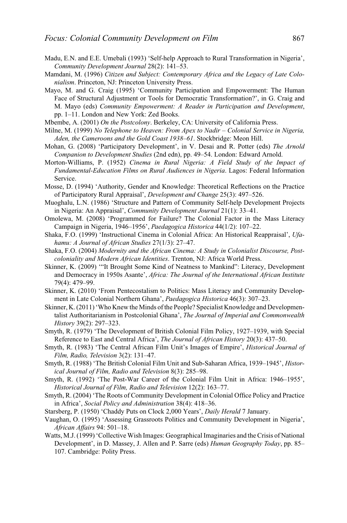- Madu, E.N. and E.E. Umebali (1993) 'Self-help Approach to Rural Transformation in Nigeria', *Community Development Journal* 28(2): 141–53.
- Mamdani, M. (1996) *Citizen and Subject: Contemporary Africa and the Legacy of Late Colonialism*. Princeton, NJ: Princeton University Press.
- Mayo, M. and G. Craig (1995) 'Community Participation and Empowerment: The Human Face of Structural Adjustment or Tools for Democratic Transformation?', in G. Craig and M. Mayo (eds) *Community Empowerment: A Reader in Participation and Development*, pp. 1–11. London and New York: Zed Books.
- Mbembe, A. (2001) *On the Postcolony*. Berkeley, CA: University of California Press.
- Milne, M. (1999) *No Telephone to Heaven: From Apex to Nadir Colonial Service in Nigeria, Aden, the Cameroons and the Gold Coast 1938–61*. Stockbridge: Meon Hill.
- Mohan, G. (2008) 'Participatory Development', in V. Desai and R. Potter (eds) *The Arnold Companion to Development Studies* (2nd edn), pp. 49–54. London: Edward Arnold.
- Morton-Williams, P. (1952) *Cinema in Rural Nigeria: A Field Study of the Impact of Fundamental-Education Films on Rural Audiences in Nigeria*. Lagos: Federal Information Service.
- Mosse, D. (1994) 'Authority, Gender and Knowledge: Theoretical Reflections on the Practice of Participatory Rural Appraisal', *Development and Change* 25(3): 497–526.
- Muoghalu, L.N. (1986) 'Structure and Pattern of Community Self-help Development Projects in Nigeria: An Appraisal', *Community Development Journal* 21(1): 33–41.
- Omolewa, M. (2008) 'Programmed for Failure? The Colonial Factor in the Mass Literacy Campaign in Nigeria, 1946–1956', *Paedagogica Historica* 44(1/2): 107–22.
- Shaka, F.O. (1999) 'Instructional Cinema in Colonial Africa: An Historical Reappraisal', *Ufahamu: A Journal of African Studies* 27(1/3): 27–47.
- Shaka, F.O. (2004) *Modernity and the African Cinema: A Study in Colonialist Discourse, Postcoloniality and Modern African Identities*. Trenton, NJ: Africa World Press.
- Skinner, K. (2009) '"It Brought Some Kind of Neatness to Mankind": Literacy, Development and Democracy in 1950s Asante', *Africa: The Journal of the International African Institute* 79(4): 479–99.
- Skinner, K. (2010) 'From Pentecostalism to Politics: Mass Literacy and Community Development in Late Colonial Northern Ghana', *Paedagogica Historica* 46(3): 307–23.
- Skinner, K. (2011) 'Who Knew the Minds of the People? Specialist Knowledge and Developmentalist Authoritarianism in Postcolonial Ghana', *The Journal of Imperial and Commonwealth History* 39(2): 297–323.
- Smyth, R. (1979) 'The Development of British Colonial Film Policy, 1927–1939, with Special Reference to East and Central Africa', *The Journal of African History* 20(3): 437–50.
- Smyth, R. (1983) 'The Central African Film Unit's Images of Empire', *Historical Journal of Film, Radio, Television* 3(2): 131–47.
- Smyth, R. (1988) 'The British Colonial Film Unit and Sub-Saharan Africa, 1939–1945', *Historical Journal of Film, Radio and Television* 8(3): 285–98.
- Smyth, R. (1992) 'The Post-War Career of the Colonial Film Unit in Africa: 1946–1955', *Historical Journal of Film, Radio and Television* 12(2): 163–77.
- Smyth, R. (2004) 'The Roots of Community Development in Colonial Office Policy and Practice in Africa', *Social Policy and Administration* 38(4): 418–36.
- Starsberg, P. (1950) 'Chaddy Puts on Clock 2,000 Years', *Daily Herald* 7 January.
- Vaughan, O. (1995) 'Assessing Grassroots Politics and Community Development in Nigeria', *African Affairs* 94: 501–18.
- Watts, M.J. (1999) 'Collective Wish Images: Geographical Imaginaries and the Crisis of National Development', in D. Massey, J. Allen and P. Sarre (eds) *Human Geography Today*, pp. 85– 107. Cambridge: Polity Press.